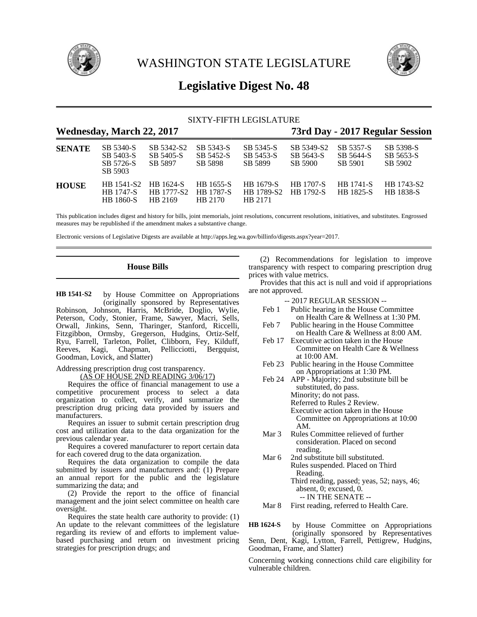

WASHINGTON STATE LEGISLATURE



# **Legislative Digest No. 48**

|                                  |                                                    |                                    |                                          | SIXTY-FIFTH LEGISLATURE            |                                      |                                   |                                   |
|----------------------------------|----------------------------------------------------|------------------------------------|------------------------------------------|------------------------------------|--------------------------------------|-----------------------------------|-----------------------------------|
| <b>Wednesday, March 22, 2017</b> |                                                    |                                    |                                          |                                    | 73rd Day - 2017 Regular Session      |                                   |                                   |
| <b>SENATE</b>                    | SB 5340-S<br>SB 5403-S<br>SB 5726-S<br>SB 5903     | SB 5342-S2<br>SB 5405-S<br>SB 5897 | SB 5343-S<br>SB 5452-S<br>SB 5898        | SB 5345-S<br>SB 5453-S<br>SB 5899  | SB 5349-S2<br>SB 5643-S<br>SB 5900   | SB 5357-S<br>SB 5644-S<br>SB 5901 | SB 5398-S<br>SB 5653-S<br>SB 5902 |
| <b>HOUSE</b>                     | HB 1541-S2<br><b>HB</b> 1747-S<br><b>HB</b> 1860-S | HB 1624-S<br>HB 1777-S2<br>HB 2169 | HB 1655-S<br><b>HB</b> 1787-S<br>HB 2170 | HB 1679-S<br>HB 1789-S2<br>HB 2171 | <b>HB</b> 1707-S<br><b>HB</b> 1792-S | <b>HB</b> 1741-S<br>HB 1825-S     | HB 1743-S2<br><b>HB</b> 1838-S    |

This publication includes digest and history for bills, joint memorials, joint resolutions, concurrent resolutions, initiatives, and substitutes. Engrossed measures may be republished if the amendment makes a substantive change.

Electronic versions of Legislative Digests are available at http://apps.leg.wa.gov/billinfo/digests.aspx?year=2017.

### **House Bills**

by House Committee on Appropriations (originally sponsored by Representatives Robinson, Johnson, Harris, McBride, Doglio, Wylie, Peterson, Cody, Stonier, Frame, Sawyer, Macri, Sells, Orwall, Jinkins, Senn, Tharinger, Stanford, Riccelli, Fitzgibbon, Ormsby, Gregerson, Hudgins, Ortiz-Self, Ryu, Farrell, Tarleton, Pollet, Clibborn, Fey, Kilduff, Reeves, Kagi, Chapman, Pellicciotti, Bergquist, Goodman, Lovick, and Slatter) **HB 1541-S2**

### Addressing prescription drug cost transparency. (AS OF HOUSE 2ND READING 3/06/17)

Requires the office of financial management to use a competitive procurement process to select a data organization to collect, verify, and summarize the prescription drug pricing data provided by issuers and manufacturers.

Requires an issuer to submit certain prescription drug cost and utilization data to the data organization for the previous calendar year.

Requires a covered manufacturer to report certain data for each covered drug to the data organization.

Requires the data organization to compile the data submitted by issuers and manufacturers and: (1) Prepare an annual report for the public and the legislature summarizing the data; and

(2) Provide the report to the office of financial management and the joint select committee on health care oversight.

Requires the state health care authority to provide: (1) An update to the relevant committees of the legislature regarding its review of and efforts to implement valuebased purchasing and return on investment pricing strategies for prescription drugs; and

(2) Recommendations for legislation to improve transparency with respect to comparing prescription drug prices with value metrics.

Provides that this act is null and void if appropriations are not approved.

|        | -- 2017 REGULAR SESSION --                   |
|--------|----------------------------------------------|
| Feb 1  | Public hearing in the House Committee        |
|        | on Health Care & Wellness at 1:30 PM.        |
| Feb 7  | Public hearing in the House Committee        |
|        | on Health Care & Wellness at 8:00 AM.        |
|        | Feb 17 Executive action taken in the House   |
|        | Committee on Health Care & Wellness          |
|        | at $10:00$ AM.                               |
|        | Feb 23 Public hearing in the House Committee |
|        | on Appropriations at 1:30 PM.                |
| Feb 24 | APP - Majority; 2nd substitute bill be       |
|        | substituted, do pass.                        |
|        | Minority; do not pass.                       |
|        | Referred to Rules 2 Review.                  |
|        | Executive action taken in the House          |
|        | Committee on Appropriations at 10:00         |

Mar 3 Rules Committee relieved of further consideration. Placed on second reading.

AM.

- Mar 6 2nd substitute bill substituted. Rules suspended. Placed on Third Reading. Third reading, passed; yeas, 52; nays, 46; absent, 0; excused, 0. -- IN THE SENATE --
- Mar 8 First reading, referred to Health Care.

by House Committee on Appropriations (originally sponsored by Representatives Senn, Dent, Kagi, Lytton, Farrell, Pettigrew, Hudgins, Goodman, Frame, and Slatter) **HB 1624-S**

Concerning working connections child care eligibility for vulnerable children.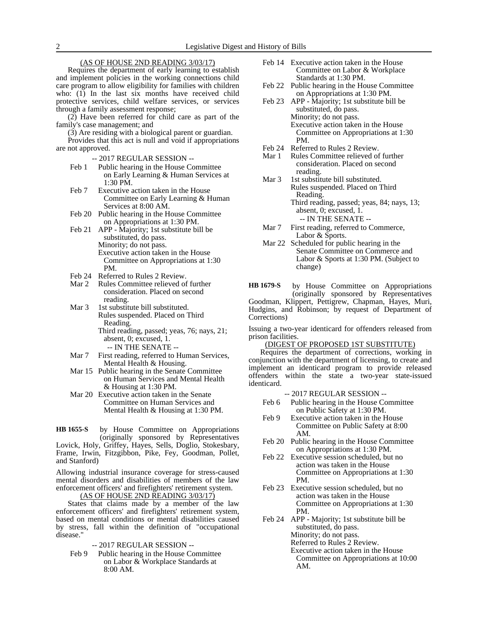## (AS OF HOUSE 2ND READING 3/03/17)

Requires the department of early learning to establish and implement policies in the working connections child care program to allow eligibility for families with children who: (1) In the last six months have received child protective services, child welfare services, or services through a family assessment response;

(2) Have been referred for child care as part of the family's case management; and

(3) Are residing with a biological parent or guardian.

Provides that this act is null and void if appropriations are not approved.

-- 2017 REGULAR SESSION --

- Feb 1 Public hearing in the House Committee on Early Learning & Human Services at 1:30 PM.
- Feb 7 Executive action taken in the House Committee on Early Learning & Human Services at 8:00 AM.
- Feb 20 Public hearing in the House Committee on Appropriations at 1:30 PM.
- Feb 21 APP Majority; 1st substitute bill be substituted, do pass. Minority; do not pass. Executive action taken in the House Committee on Appropriations at 1:30 PM.
- Feb 24 Referred to Rules 2 Review.
- Mar 2 Rules Committee relieved of further consideration. Placed on second reading.
- Mar 3 1st substitute bill substituted. Rules suspended. Placed on Third Reading. Third reading, passed; yeas, 76; nays, 21; absent, 0; excused, 1.

-- IN THE SENATE --

- Mar 7 First reading, referred to Human Services, Mental Health & Housing.
- Mar 15 Public hearing in the Senate Committee on Human Services and Mental Health & Housing at 1:30 PM.
- Mar 20 Executive action taken in the Senate Committee on Human Services and Mental Health & Housing at 1:30 PM.

by House Committee on Appropriations (originally sponsored by Representatives **HB 1655-S**

Lovick, Holy, Griffey, Hayes, Sells, Doglio, Stokesbary, Frame, Irwin, Fitzgibbon, Pike, Fey, Goodman, Pollet, and Stanford)

Allowing industrial insurance coverage for stress-caused mental disorders and disabilities of members of the law enforcement officers' and firefighters' retirement system.

(AS OF HOUSE 2ND READING 3/03/17)

States that claims made by a member of the law enforcement officers' and firefighters' retirement system, based on mental conditions or mental disabilities caused by stress, fall within the definition of "occupational disease."

-- 2017 REGULAR SESSION --

Feb 9 Public hearing in the House Committee on Labor & Workplace Standards at 8:00 AM.

- Feb 14 Executive action taken in the House Committee on Labor & Workplace Standards at 1:30 PM.
- Feb 22 Public hearing in the House Committee on Appropriations at 1:30 PM.
- Feb 23 APP Majority; 1st substitute bill be substituted, do pass. Minority; do not pass. Executive action taken in the House Committee on Appropriations at 1:30 PM.
- Feb 24 Referred to Rules 2 Review.
- Mar 1 Rules Committee relieved of further consideration. Placed on second reading.
- Mar 3 1st substitute bill substituted. Rules suspended. Placed on Third Reading. Third reading, passed; yeas, 84; nays, 13; absent, 0; excused, 1.
	- -- IN THE SENATE --
- Mar 7 First reading, referred to Commerce, Labor & Sports.
- Mar 22 Scheduled for public hearing in the Senate Committee on Commerce and Labor & Sports at 1:30 PM. (Subject to change)

by House Committee on Appropriations (originally sponsored by Representatives **HB 1679-S**

Goodman, Klippert, Pettigrew, Chapman, Hayes, Muri, Hudgins, and Robinson; by request of Department of Corrections)

Issuing a two-year identicard for offenders released from prison facilities.

(DIGEST OF PROPOSED 1ST SUBSTITUTE)

Requires the department of corrections, working in conjunction with the department of licensing, to create and implement an identicard program to provide released offenders within the state a two-year state-issued identicard.

- Feb 6 Public hearing in the House Committee on Public Safety at 1:30 PM.
- Feb 9 Executive action taken in the House Committee on Public Safety at 8:00 AM.
- Feb 20 Public hearing in the House Committee on Appropriations at 1:30 PM.
- Feb 22 Executive session scheduled, but no action was taken in the House Committee on Appropriations at 1:30 PM.
- Feb 23 Executive session scheduled, but no action was taken in the House Committee on Appropriations at 1:30 PM.
- Feb 24 APP Majority; 1st substitute bill be substituted, do pass. Minority; do not pass. Referred to Rules 2 Review. Executive action taken in the House Committee on Appropriations at 10:00 AM.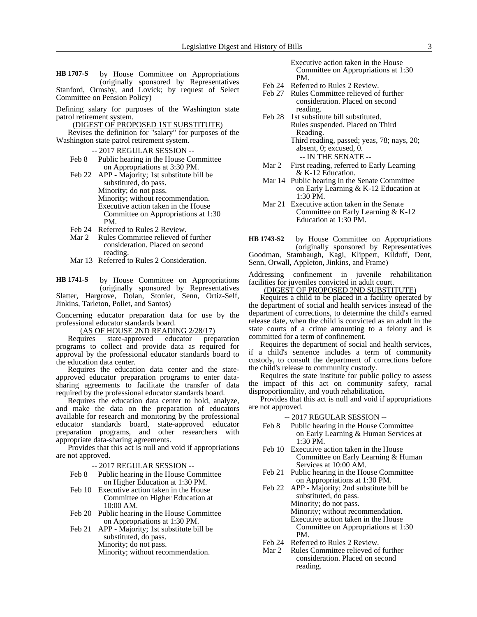by House Committee on Appropriations (originally sponsored by Representatives Stanford, Ormsby, and Lovick; by request of Select Committee on Pension Policy) **HB 1707-S**

Defining salary for purposes of the Washington state patrol retirement system.

(DIGEST OF PROPOSED 1ST SUBSTITUTE)

Revises the definition for "salary" for purposes of the Washington state patrol retirement system.

- -- 2017 REGULAR SESSION --
- Feb 8 Public hearing in the House Committee on Appropriations at 3:30 PM.

Feb 22 APP - Majority; 1st substitute bill be substituted, do pass. Minority; do not pass. Minority; without recommendation. Executive action taken in the House Committee on Appropriations at 1:30 PM.

- Feb 24 Referred to Rules 2 Review.<br>Mar 2 Rules Committee relieved of
- Rules Committee relieved of further consideration. Placed on second reading.
- Mar 13 Referred to Rules 2 Consideration.

by House Committee on Appropriations (originally sponsored by Representatives Slatter, Hargrove, Dolan, Stonier, Senn, Ortiz-Self, Jinkins, Tarleton, Pollet, and Santos) **HB 1741-S**

Concerning educator preparation data for use by the professional educator standards board.

(AS OF HOUSE 2ND READING 2/28/17)<br>uires state-approved educator preparation Requires state-approved educator programs to collect and provide data as required for approval by the professional educator standards board to the education data center.

Requires the education data center and the stateapproved educator preparation programs to enter datasharing agreements to facilitate the transfer of data required by the professional educator standards board.

Requires the education data center to hold, analyze, and make the data on the preparation of educators available for research and monitoring by the professional educator standards board, state-approved educator preparation programs, and other researchers with appropriate data-sharing agreements.

Provides that this act is null and void if appropriations are not approved.

-- 2017 REGULAR SESSION --

- Feb 8 Public hearing in the House Committee on Higher Education at 1:30 PM.
- Feb 10 Executive action taken in the House Committee on Higher Education at 10:00 AM.
- Feb 20 Public hearing in the House Committee on Appropriations at 1:30 PM.
- Feb 21 APP Majority; 1st substitute bill be substituted, do pass. Minority; do not pass. Minority; without recommendation.

Executive action taken in the House Committee on Appropriations at 1:30 PM.

- Feb 24 Referred to Rules 2 Review.
- Feb 27 Rules Committee relieved of further consideration. Placed on second reading.
- Feb 28 1st substitute bill substituted. Rules suspended. Placed on Third Reading. Third reading, passed; yeas, 78; nays, 20;

absent, 0; excused, 0. -- IN THE SENATE --

- Mar 2 First reading, referred to Early Learning & K-12 Education.
- Mar 14 Public hearing in the Senate Committee on Early Learning & K-12 Education at 1:30 PM.
- Mar 21 Executive action taken in the Senate Committee on Early Learning & K-12 Education at 1:30 PM.
- by House Committee on Appropriations (originally sponsored by Representatives Goodman, Stambaugh, Kagi, Klippert, Kilduff, Dent, Senn, Orwall, Appleton, Jinkins, and Frame) **HB 1743-S2**

Addressing confinement in juvenile rehabilitation facilities for juveniles convicted in adult court.

(DIGEST OF PROPOSED 2ND SUBSTITUTE)

Requires a child to be placed in a facility operated by the department of social and health services instead of the department of corrections, to determine the child's earned release date, when the child is convicted as an adult in the state courts of a crime amounting to a felony and is committed for a term of confinement.

Requires the department of social and health services, if a child's sentence includes a term of community custody, to consult the department of corrections before the child's release to community custody.

Requires the state institute for public policy to assess the impact of this act on community safety, racial disproportionality, and youth rehabilitation.

Provides that this act is null and void if appropriations are not approved.

- Feb 8 Public hearing in the House Committee on Early Learning & Human Services at 1:30 PM.
- Feb 10 Executive action taken in the House Committee on Early Learning & Human Services at 10:00 AM.
- Feb 21 Public hearing in the House Committee on Appropriations at 1:30 PM.
- Feb 22 APP Majority; 2nd substitute bill be substituted, do pass. Minority; do not pass. Minority; without recommendation. Executive action taken in the House Committee on Appropriations at 1:30 PM.
- Feb 24 Referred to Rules 2 Review.
- Mar 2 Rules Committee relieved of further consideration. Placed on second reading.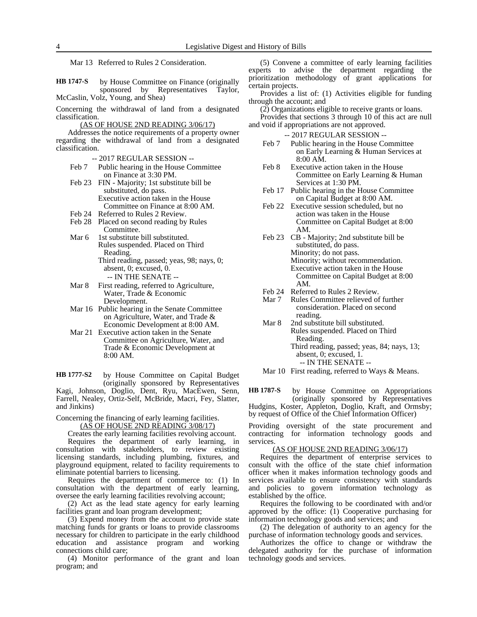Mar 13 Referred to Rules 2 Consideration.

by House Committee on Finance (originally sponsored by Representatives Taylor, McCaslin, Volz, Young, and Shea) **HB 1747-S**

Concerning the withdrawal of land from a designated classification.

(AS OF HOUSE 2ND READING 3/06/17)

Addresses the notice requirements of a property owner regarding the withdrawal of land from a designated classification.

-- 2017 REGULAR SESSION --

- Feb 7 Public hearing in the House Committee on Finance at 3:30 PM.
- Feb 23 FIN Majority; 1st substitute bill be substituted, do pass. Executive action taken in the House Committee on Finance at 8:00 AM.
- Feb 24 Referred to Rules 2 Review.
- Feb 28 Placed on second reading by Rules Committee.
- Mar 6 1st substitute bill substituted. Rules suspended. Placed on Third Reading. Third reading, passed; yeas, 98; nays, 0;
	- absent, 0; excused, 0. -- IN THE SENATE --
- Mar 8 First reading, referred to Agriculture, Water, Trade & Economic Development.
- Mar 16 Public hearing in the Senate Committee on Agriculture, Water, and Trade & Economic Development at 8:00 AM.
- Mar 21 Executive action taken in the Senate Committee on Agriculture, Water, and Trade & Economic Development at 8:00 AM.

by House Committee on Capital Budget (originally sponsored by Representatives Kagi, Johnson, Doglio, Dent, Ryu, MacEwen, Senn, Farrell, Nealey, Ortiz-Self, McBride, Macri, Fey, Slatter, and Jinkins) **HB 1777-S2**

Concerning the financing of early learning facilities.

(AS OF HOUSE 2ND READING 3/08/17)

Creates the early learning facilities revolving account.

Requires the department of early learning, in consultation with stakeholders, to review existing licensing standards, including plumbing, fixtures, and playground equipment, related to facility requirements to eliminate potential barriers to licensing.

Requires the department of commerce to: (1) In consultation with the department of early learning, oversee the early learning facilities revolving account;

(2) Act as the lead state agency for early learning facilities grant and loan program development;

(3) Expend money from the account to provide state matching funds for grants or loans to provide classrooms necessary for children to participate in the early childhood education and assistance program and working connections child care;

(4) Monitor performance of the grant and loan program; and

(5) Convene a committee of early learning facilities experts to advise the department regarding the prioritization methodology of grant applications for certain projects.

Provides a list of: (1) Activities eligible for funding through the account; and

(2) Organizations eligible to receive grants or loans.

Provides that sections 3 through 10 of this act are null and void if appropriations are not approved.

-- 2017 REGULAR SESSION --

- Feb 7 Public hearing in the House Committee on Early Learning & Human Services at 8:00 AM.
- Feb 8 Executive action taken in the House Committee on Early Learning & Human Services at 1:30 PM.
- Feb 17 Public hearing in the House Committee on Capital Budget at 8:00 AM.
- Feb 22 Executive session scheduled, but no action was taken in the House Committee on Capital Budget at 8:00 AM.
- Feb 23 CB Majority; 2nd substitute bill be substituted, do pass. Minority; do not pass. Minority; without recommendation. Executive action taken in the House Committee on Capital Budget at 8:00 AM.
- 
- Feb 24 Referred to Rules 2 Review.<br>Mar 7 Rules Committee relieved of Rules Committee relieved of further consideration. Placed on second reading.
- Mar 8 2nd substitute bill substituted. Rules suspended. Placed on Third Reading. Third reading, passed; yeas, 84; nays, 13; absent, 0; excused, 1.

-- IN THE SENATE --

Mar 10 First reading, referred to Ways & Means.

by House Committee on Appropriations (originally sponsored by Representatives **HB 1787-S**

Hudgins, Koster, Appleton, Doglio, Kraft, and Ormsby; by request of Office of the Chief Information Officer)

Providing oversight of the state procurement and contracting for information technology goods and services.

### (AS OF HOUSE 2ND READING 3/06/17)

Requires the department of enterprise services to consult with the office of the state chief information officer when it makes information technology goods and services available to ensure consistency with standards and policies to govern information technology as established by the office.

Requires the following to be coordinated with and/or approved by the office: (1) Cooperative purchasing for information technology goods and services; and

(2) The delegation of authority to an agency for the purchase of information technology goods and services.

Authorizes the office to change or withdraw the delegated authority for the purchase of information technology goods and services.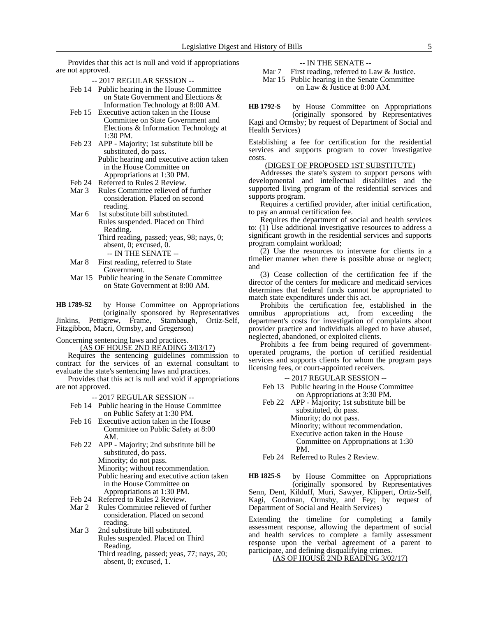Provides that this act is null and void if appropriations are not approved.

-- 2017 REGULAR SESSION --

- Feb 14 Public hearing in the House Committee on State Government and Elections & Information Technology at 8:00 AM.
- Feb 15 Executive action taken in the House Committee on State Government and Elections & Information Technology at 1:30 PM.
- Feb 23 APP Majority; 1st substitute bill be substituted, do pass.
	- Public hearing and executive action taken in the House Committee on Appropriations at 1:30 PM.
- Feb 24 Referred to Rules 2 Review.
- Mar 3 Rules Committee relieved of further consideration. Placed on second reading.
- Mar 6 1st substitute bill substituted. Rules suspended. Placed on Third
	- Reading.
	- Third reading, passed; yeas, 98; nays, 0; absent, 0; excused, 0.
		- -- IN THE SENATE --
- Mar 8 First reading, referred to State Government.
- Mar 15 Public hearing in the Senate Committee on State Government at 8:00 AM.
- by House Committee on Appropriations (originally sponsored by Representatives Jinkins, Pettigrew, Frame, Stambaugh, Ortiz-Self, **HB 1789-S2**

Fitzgibbon, Macri, Ormsby, and Gregerson)

Concerning sentencing laws and practices.

(AS OF HOUSE 2ND READING 3/03/17)

Requires the sentencing guidelines commission to contract for the services of an external consultant to evaluate the state's sentencing laws and practices.

Provides that this act is null and void if appropriations are not approved.

-- 2017 REGULAR SESSION --

- Feb 14 Public hearing in the House Committee on Public Safety at 1:30 PM.
- Feb 16 Executive action taken in the House Committee on Public Safety at 8:00 AM.
- Feb 22 APP Majority; 2nd substitute bill be substituted, do pass. Minority; do not pass. Minority; without recommendation. Public hearing and executive action taken in the House Committee on
	- Appropriations at 1:30 PM.
- Feb 24 Referred to Rules 2 Review.
- Mar 2 Rules Committee relieved of further consideration. Placed on second reading.
- Mar 3 2nd substitute bill substituted. Rules suspended. Placed on Third Reading.
	- Third reading, passed; yeas, 77; nays, 20; absent, 0; excused, 1.

-- IN THE SENATE --

Mar 7 First reading, referred to Law & Justice.

Mar 15 Public hearing in the Senate Committee on Law & Justice at 8:00 AM.

by House Committee on Appropriations (originally sponsored by Representatives **HB 1792-S**

Kagi and Ormsby; by request of Department of Social and Health Services)

Establishing a fee for certification for the residential services and supports program to cover investigative costs.

### (DIGEST OF PROPOSED 1ST SUBSTITUTE)

Addresses the state's system to support persons with developmental and intellectual disabilities and the supported living program of the residential services and supports program.

Requires a certified provider, after initial certification, to pay an annual certification fee.

Requires the department of social and health services to: (1) Use additional investigative resources to address a significant growth in the residential services and supports program complaint workload;

(2) Use the resources to intervene for clients in a timelier manner when there is possible abuse or neglect; and

(3) Cease collection of the certification fee if the director of the centers for medicare and medicaid services determines that federal funds cannot be appropriated to match state expenditures under this act.

Prohibits the certification fee, established in the omnibus appropriations act, from exceeding the department's costs for investigation of complaints about provider practice and individuals alleged to have abused, neglected, abandoned, or exploited clients.

Prohibits a fee from being required of governmentoperated programs, the portion of certified residential services and supports clients for whom the program pays licensing fees, or court-appointed receivers.

-- 2017 REGULAR SESSION --

- Feb 13 Public hearing in the House Committee on Appropriations at 3:30 PM.
- Feb 22 APP Majority; 1st substitute bill be substituted, do pass.

Minority; do not pass. Minority; without recommendation. Executive action taken in the House Committee on Appropriations at 1:30 PM.

Feb 24 Referred to Rules 2 Review.

by House Committee on Appropriations (originally sponsored by Representatives Senn, Dent, Kilduff, Muri, Sawyer, Klippert, Ortiz-Self, Kagi, Goodman, Ormsby, and Fey; by request of Department of Social and Health Services) **HB 1825-S**

Extending the timeline for completing a family assessment response, allowing the department of social and health services to complete a family assessment response upon the verbal agreement of a parent to participate, and defining disqualifying crimes.

(AS OF HOUSE 2ND READING 3/02/17)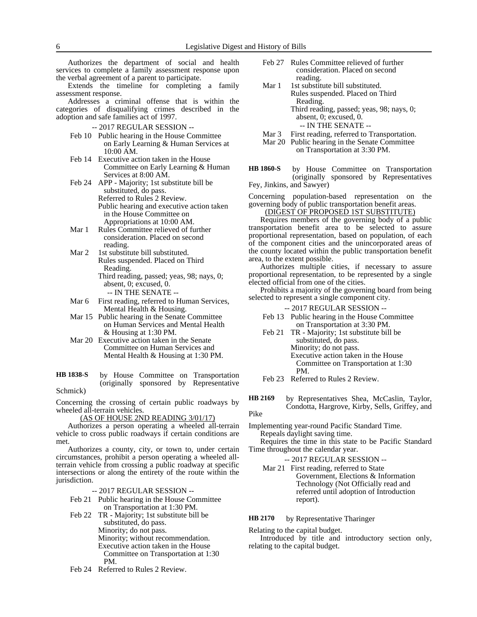Authorizes the department of social and health services to complete a family assessment response upon the verbal agreement of a parent to participate.

Extends the timeline for completing a family assessment response.

Addresses a criminal offense that is within the categories of disqualifying crimes described in the adoption and safe families act of 1997.

-- 2017 REGULAR SESSION --

- Feb 10 Public hearing in the House Committee on Early Learning & Human Services at 10:00 AM.
- Feb 14 Executive action taken in the House Committee on Early Learning & Human Services at 8:00 AM.
- Feb 24 APP Majority; 1st substitute bill be substituted, do pass. Referred to Rules 2 Review. Public hearing and executive action taken in the House Committee on Appropriations at 10:00 AM.
- Mar 1 Rules Committee relieved of further consideration. Placed on second reading.
- Mar 2 1st substitute bill substituted. Rules suspended. Placed on Third Reading. Third reading, passed; yeas, 98; nays, 0; absent, 0; excused, 0.
	- -- IN THE SENATE --
- Mar 6 First reading, referred to Human Services,
- Mental Health & Housing. Mar 15 Public hearing in the Senate Committee on Human Services and Mental Health & Housing at 1:30 PM.
- Mar 20 Executive action taken in the Senate Committee on Human Services and Mental Health & Housing at 1:30 PM.

#### by House Committee on Transportation (originally sponsored by Representative Schmick) **HB 1838-S**

Concerning the crossing of certain public roadways by wheeled all-terrain vehicles.

(AS OF HOUSE 2ND READING 3/01/17)

Authorizes a person operating a wheeled all-terrain vehicle to cross public roadways if certain conditions are met.

Authorizes a county, city, or town to, under certain circumstances, prohibit a person operating a wheeled allterrain vehicle from crossing a public roadway at specific intersections or along the entirety of the route within the jurisdiction.

-- 2017 REGULAR SESSION --

- Feb 21 Public hearing in the House Committee on Transportation at 1:30 PM.
- Feb 22 TR Majority; 1st substitute bill be substituted, do pass. Minority; do not pass. Minority; without recommendation. Executive action taken in the House Committee on Transportation at 1:30 PM.
- Feb 24 Referred to Rules 2 Review.
- Feb 27 Rules Committee relieved of further consideration. Placed on second reading.
- Mar 1 1st substitute bill substituted. Rules suspended. Placed on Third Reading. Third reading, passed; yeas, 98; nays, 0; absent, 0; excused, 0.
	- -- IN THE SENATE --
- Mar 3 First reading, referred to Transportation.
- Mar 20 Public hearing in the Senate Committee

on Transportation at 3:30 PM.

by House Committee on Transportation (originally sponsored by Representatives Fey, Jinkins, and Sawyer) **HB 1860-S**

Concerning population-based representation on the governing body of public transportation benefit areas. (DIGEST OF PROPOSED 1ST SUBSTITUTE)

Requires members of the governing body of a public transportation benefit area to be selected to assure proportional representation, based on population, of each of the component cities and the unincorporated areas of the county located within the public transportation benefit area, to the extent possible.

Authorizes multiple cities, if necessary to assure proportional representation, to be represented by a single elected official from one of the cities.

Prohibits a majority of the governing board from being selected to represent a single component city.

-- 2017 REGULAR SESSION --

- Feb 13 Public hearing in the House Committee on Transportation at 3:30 PM.
- Feb 21 TR Majority; 1st substitute bill be substituted, do pass. Minority; do not pass. Executive action taken in the House Committee on Transportation at 1:30 PM.

Feb 23 Referred to Rules 2 Review.

by Representatives Shea, McCaslin, Taylor, Condotta, Hargrove, Kirby, Sells, Griffey, and Pike **HB 2169**

Implementing year-round Pacific Standard Time. Repeals daylight saving time.

Requires the time in this state to be Pacific Standard Time throughout the calendar year.

-- 2017 REGULAR SESSION --

Mar 21 First reading, referred to State Government, Elections & Information Technology (Not Officially read and referred until adoption of Introduction report).

#### by Representative Tharinger **HB 2170**

Relating to the capital budget.

Introduced by title and introductory section only, relating to the capital budget.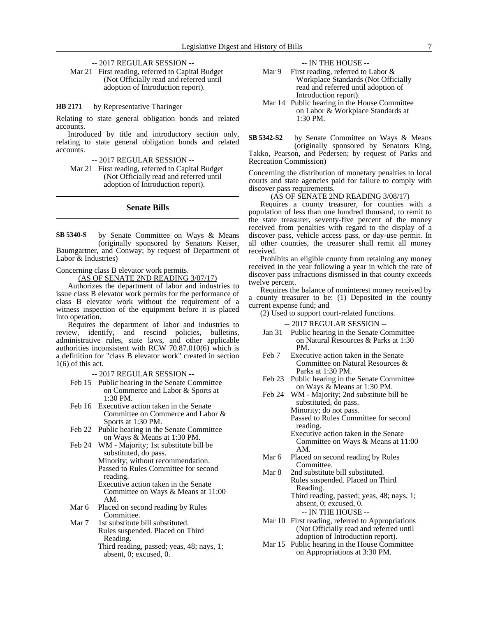### -- 2017 REGULAR SESSION --

Mar 21 First reading, referred to Capital Budget (Not Officially read and referred until adoption of Introduction report).

#### by Representative Tharinger **HB 2171**

Relating to state general obligation bonds and related accounts.

Introduced by title and introductory section only, relating to state general obligation bonds and related accounts.

-- 2017 REGULAR SESSION --

Mar 21 First reading, referred to Capital Budget (Not Officially read and referred until adoption of Introduction report).

#### **Senate Bills**

by Senate Committee on Ways & Means (originally sponsored by Senators Keiser, Baumgartner, and Conway; by request of Department of Labor & Industries) **SB 5340-S**

Concerning class B elevator work permits.

(AS OF SENATE 2ND READING 3/07/17)

Authorizes the department of labor and industries to issue class B elevator work permits for the performance of class B elevator work without the requirement of a witness inspection of the equipment before it is placed into operation.

Requires the department of labor and industries to review, identify, and rescind policies, bulletins, administrative rules, state laws, and other applicable authorities inconsistent with RCW 70.87.010(6) which is a definition for "class B elevator work" created in section  $1(6)$  of this act.

-- 2017 REGULAR SESSION --

- Feb 15 Public hearing in the Senate Committee on Commerce and Labor & Sports at 1:30 PM.
- Feb 16 Executive action taken in the Senate Committee on Commerce and Labor & Sports at 1:30 PM.
- Feb 22 Public hearing in the Senate Committee on Ways & Means at 1:30 PM.
- Feb 24 WM Majority; 1st substitute bill be substituted, do pass. Minority; without recommendation.
	- Passed to Rules Committee for second reading.
	- Executive action taken in the Senate Committee on Ways & Means at 11:00 AM.
- Mar 6 Placed on second reading by Rules Committee.
- Mar 7 1st substitute bill substituted. Rules suspended. Placed on Third Reading.
	- Third reading, passed; yeas, 48; nays, 1; absent, 0; excused, 0.

-- IN THE HOUSE --

- Mar 9 First reading, referred to Labor & Workplace Standards (Not Officially read and referred until adoption of Introduction report).
- Mar 14 Public hearing in the House Committee on Labor & Workplace Standards at 1:30 PM.
- by Senate Committee on Ways & Means (originally sponsored by Senators King, Takko, Pearson, and Pedersen; by request of Parks and Recreation Commission) **SB 5342-S2**

Concerning the distribution of monetary penalties to local courts and state agencies paid for failure to comply with discover pass requirements.

### (AS OF SENATE 2ND READING 3/08/17)

Requires a county treasurer, for counties with a population of less than one hundred thousand, to remit to the state treasurer, seventy-five percent of the money received from penalties with regard to the display of a discover pass, vehicle access pass, or day-use permit. In all other counties, the treasurer shall remit all money received.

Prohibits an eligible county from retaining any money received in the year following a year in which the rate of discover pass infractions dismissed in that county exceeds twelve percent.

Requires the balance of noninterest money received by a county treasurer to be: (1) Deposited in the county current expense fund; and

(2) Used to support court-related functions.

-- 2017 REGULAR SESSION --

- Jan 31 Public hearing in the Senate Committee on Natural Resources & Parks at 1:30 PM.
- Feb 7 Executive action taken in the Senate Committee on Natural Resources & Parks at 1:30 PM.
- Feb 23 Public hearing in the Senate Committee on Ways & Means at 1:30 PM.
- Feb 24 WM Majority; 2nd substitute bill be substituted, do pass. Minority; do not pass.

Passed to Rules Committee for second reading.

- Executive action taken in the Senate Committee on Ways & Means at 11:00 AM.
- Mar 6 Placed on second reading by Rules Committee.
- Mar 8 2nd substitute bill substituted. Rules suspended. Placed on Third Reading. Third reading, passed; yeas, 48; nays, 1;
	- absent, 0; excused, 0. -- IN THE HOUSE --
- Mar 10 First reading, referred to Appropriations (Not Officially read and referred until adoption of Introduction report).
- Mar 15 Public hearing in the House Committee on Appropriations at 3:30 PM.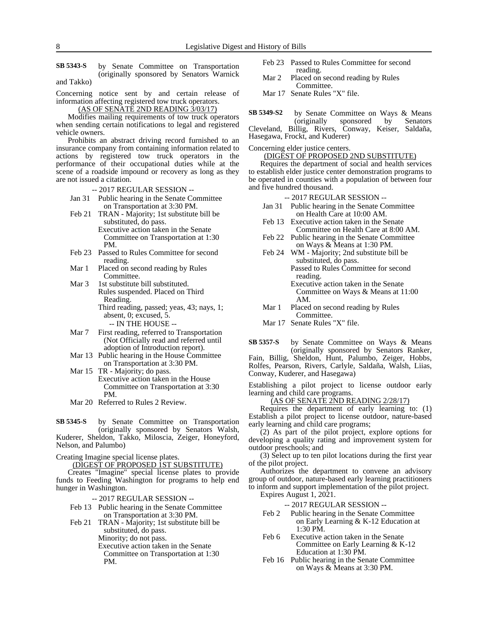by Senate Committee on Transportation (originally sponsored by Senators Warnick and Takko) **SB 5343-S**

Concerning notice sent by and certain release of information affecting registered tow truck operators.

(AS OF SENATE 2ND READING 3/03/17)

Modifies mailing requirements of tow truck operators when sending certain notifications to legal and registered vehicle owners.

Prohibits an abstract driving record furnished to an insurance company from containing information related to actions by registered tow truck operators in the performance of their occupational duties while at the scene of a roadside impound or recovery as long as they are not issued a citation.

- -- 2017 REGULAR SESSION --
- Jan 31 Public hearing in the Senate Committee on Transportation at 3:30 PM.
- Feb 21 TRAN Majority; 1st substitute bill be substituted, do pass. Executive action taken in the Senate
	- Committee on Transportation at 1:30 PM.
- Feb 23 Passed to Rules Committee for second reading.
- Mar 1 Placed on second reading by Rules Committee.
- Mar 3 1st substitute bill substituted. Rules suspended. Placed on Third Reading. Third reading, passed; yeas, 43; nays, 1; absent, 0; excused, 5.

-- IN THE HOUSE --

- Mar 7 First reading, referred to Transportation (Not Officially read and referred until adoption of Introduction report).
- Mar 13 Public hearing in the House Committee on Transportation at 3:30 PM.
- Mar 15 TR Majority; do pass. Executive action taken in the House Committee on Transportation at 3:30 PM.
- Mar 20 Referred to Rules 2 Review.

by Senate Committee on Transportation (originally sponsored by Senators Walsh, Kuderer, Sheldon, Takko, Miloscia, Zeiger, Honeyford, Nelson, and Palumbo) **SB 5345-S**

Creating Imagine special license plates.

(DIGEST OF PROPOSED 1ST SUBSTITUTE)

Creates "Imagine" special license plates to provide funds to Feeding Washington for programs to help end hunger in Washington.

- -- 2017 REGULAR SESSION --
- Feb 13 Public hearing in the Senate Committee on Transportation at 3:30 PM.
- Feb 21 TRAN Majority; 1st substitute bill be substituted, do pass.

Minority; do not pass.

Executive action taken in the Senate Committee on Transportation at 1:30 PM.

- Feb 23 Passed to Rules Committee for second reading.
- Mar 2 Placed on second reading by Rules Committee.
- Mar 17 Senate Rules "X" file.

by Senate Committee on Ways & Means (originally sponsored by Senators Cleveland, Billig, Rivers, Conway, Keiser, Saldaña, Hasegawa, Frockt, and Kuderer) **SB 5349-S2**

Concerning elder justice centers.

(DIGEST OF PROPOSED 2ND SUBSTITUTE)

Requires the department of social and health services to establish elder justice center demonstration programs to be operated in counties with a population of between four and five hundred thousand.

#### -- 2017 REGULAR SESSION --

- Jan 31 Public hearing in the Senate Committee on Health Care at 10:00 AM.
- Feb 13 Executive action taken in the Senate Committee on Health Care at 8:00 AM.
- Feb 22 Public hearing in the Senate Committee on Ways & Means at 1:30 PM.
- Feb 24 WM Majority; 2nd substitute bill be substituted, do pass. Passed to Rules Committee for second
	- reading. Executive action taken in the Senate Committee on Ways & Means at 11:00 AM.
- Mar 1 Placed on second reading by Rules Committee.
- Mar 17 Senate Rules "X" file.
- by Senate Committee on Ways & Means (originally sponsored by Senators Ranker, Fain, Billig, Sheldon, Hunt, Palumbo, Zeiger, Hobbs, **SB 5357-S**

Rolfes, Pearson, Rivers, Carlyle, Saldaña, Walsh, Liias, Conway, Kuderer, and Hasegawa)

Establishing a pilot project to license outdoor early learning and child care programs.

(AS OF SENATE 2ND READING 2/28/17)

Requires the department of early learning to: (1) Establish a pilot project to license outdoor, nature-based early learning and child care programs;

(2) As part of the pilot project, explore options for developing a quality rating and improvement system for outdoor preschools; and

(3) Select up to ten pilot locations during the first year of the pilot project.

Authorizes the department to convene an advisory group of outdoor, nature-based early learning practitioners to inform and support implementation of the pilot project. Expires August 1, 2021.

- Feb 2 Public hearing in the Senate Committee on Early Learning & K-12 Education at 1:30 PM.
- Feb 6 Executive action taken in the Senate Committee on Early Learning & K-12 Education at 1:30 PM.
- Feb 16 Public hearing in the Senate Committee on Ways & Means at 3:30 PM.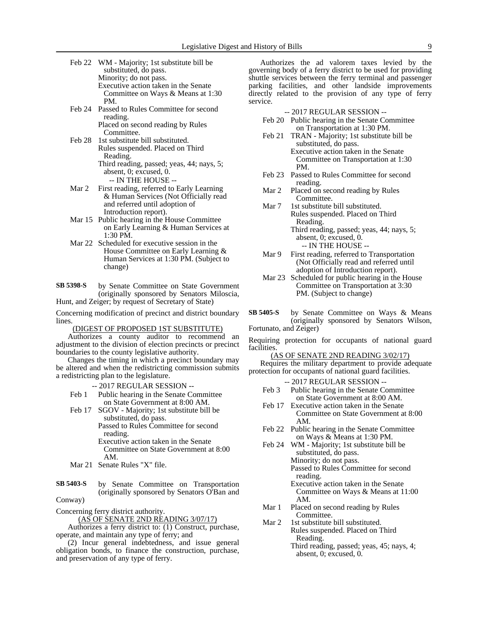- Feb 22 WM Majority; 1st substitute bill be substituted, do pass. Minority; do not pass. Executive action taken in the Senate Committee on Ways & Means at 1:30 PM.
- Feb 24 Passed to Rules Committee for second reading. Placed on second reading by Rules
- Committee. Feb 28 1st substitute bill substituted. Rules suspended. Placed on Third Reading. Third reading, passed; yeas, 44; nays, 5; absent, 0; excused, 0.
	- -- IN THE HOUSE --
- Mar 2 First reading, referred to Early Learning & Human Services (Not Officially read and referred until adoption of Introduction report).
- Mar 15 Public hearing in the House Committee on Early Learning & Human Services at 1:30 PM.
- Mar 22 Scheduled for executive session in the House Committee on Early Learning & Human Services at 1:30 PM. (Subject to change)

by Senate Committee on State Government (originally sponsored by Senators Miloscia, **SB 5398-S**

Hunt, and Zeiger; by request of Secretary of State)

Concerning modification of precinct and district boundary lines.

(DIGEST OF PROPOSED 1ST SUBSTITUTE)

Authorizes a county auditor to recommend an adjustment to the division of election precincts or precinct boundaries to the county legislative authority.

Changes the timing in which a precinct boundary may be altered and when the redistricting commission submits a redistricting plan to the legislature.

-- 2017 REGULAR SESSION --

- Feb 1 Public hearing in the Senate Committee on State Government at 8:00 AM.
- Feb 17 SGOV Majority; 1st substitute bill be substituted, do pass.

Passed to Rules Committee for second reading.

Executive action taken in the Senate Committee on State Government at 8:00 AM.

Mar 21 Senate Rules "X" file.

by Senate Committee on Transportation (originally sponsored by Senators O'Ban and **SB 5403-S**

Conway)

Concerning ferry district authority.

(AS OF SENATE 2ND READING 3/07/17) Authorizes a ferry district to: (1) Construct, purchase, operate, and maintain any type of ferry; and

(2) Incur general indebtedness, and issue general obligation bonds, to finance the construction, purchase, and preservation of any type of ferry.

Authorizes the ad valorem taxes levied by the governing body of a ferry district to be used for providing shuttle services between the ferry terminal and passenger parking facilities, and other landside improvements directly related to the provision of any type of ferry service.

-- 2017 REGULAR SESSION --

- Feb 20 Public hearing in the Senate Committee on Transportation at 1:30 PM.
- Feb 21 TRAN Majority; 1st substitute bill be substituted, do pass. Executive action taken in the Senate Committee on Transportation at 1:30 PM.
- Feb 23 Passed to Rules Committee for second reading.
- Mar 2 Placed on second reading by Rules Committee.
- Mar 7 1st substitute bill substituted. Rules suspended. Placed on Third Reading. Third reading, passed; yeas, 44; nays, 5; absent, 0; excused, 0. -- IN THE HOUSE --
- Mar 9 First reading, referred to Transportation (Not Officially read and referred until adoption of Introduction report).
- Mar 23 Scheduled for public hearing in the House Committee on Transportation at 3:30 PM. (Subject to change)
- by Senate Committee on Ways & Means (originally sponsored by Senators Wilson, Fortunato, and Zeiger) **SB 5405-S**

Requiring protection for occupants of national guard facilities.

(AS OF SENATE 2ND READING 3/02/17) Requires the military department to provide adequate protection for occupants of national guard facilities.

- Feb 3 Public hearing in the Senate Committee on State Government at 8:00 AM.
- Feb 17 Executive action taken in the Senate Committee on State Government at 8:00 AM.
- Feb 22 Public hearing in the Senate Committee on Ways & Means at 1:30 PM.
- Feb 24 WM Majority; 1st substitute bill be substituted, do pass. Minority; do not pass. Passed to Rules Committee for second
	- reading. Executive action taken in the Senate Committee on Ways & Means at 11:00 AM.
- Mar 1 Placed on second reading by Rules Committee.
- Mar 2 1st substitute bill substituted. Rules suspended. Placed on Third Reading.
	- Third reading, passed; yeas, 45; nays, 4; absent, 0; excused, 0.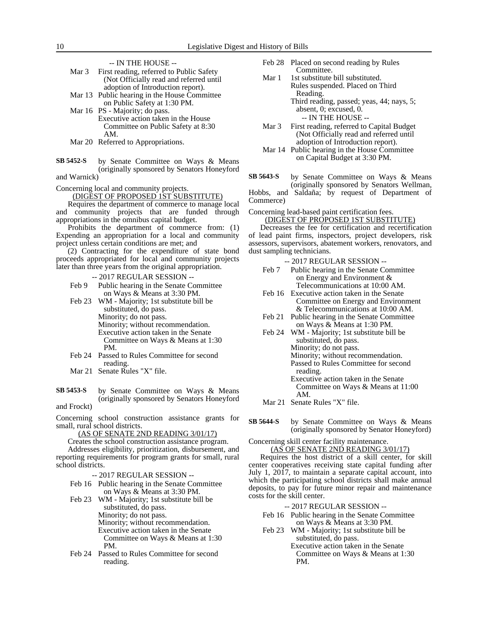|       | -- IN THE HOUSE --                           |
|-------|----------------------------------------------|
| Mar 3 | First reading, referred to Public Safety     |
|       | (Not Officially read and referred until      |
|       | adoption of Introduction report).            |
|       | Mar 13 Public hearing in the House Committee |
|       | on Public Safety at 1:30 PM.                 |
|       | Mar 16 PS - Majority; do pass.               |
|       | Executive action taken in the House          |
|       | Committee on Public Safety at 8:30           |
|       | A M                                          |

- Mar 20 Referred to Appropriations.
- by Senate Committee on Ways & Means (originally sponsored by Senators Honeyford **SB 5452-S**

and Warnick)

Concerning local and community projects.

(DIGEST OF PROPOSED 1ST SUBSTITUTE)

Requires the department of commerce to manage local and community projects that are funded through appropriations in the omnibus capital budget.

Prohibits the department of commerce from: (1) Expending an appropriation for a local and community project unless certain conditions are met; and

(2) Contracting for the expenditure of state bond proceeds appropriated for local and community projects later than three years from the original appropriation.

-- 2017 REGULAR SESSION --

- Feb 9 Public hearing in the Senate Committee on Ways & Means at 3:30 PM.
- Feb 23 WM Majority; 1st substitute bill be substituted, do pass. Minority; do not pass.

Minority; without recommendation. Executive action taken in the Senate

Committee on Ways & Means at 1:30 PM.

- Feb 24 Passed to Rules Committee for second reading.
- Mar 21 Senate Rules "X" file.
- by Senate Committee on Ways & Means (originally sponsored by Senators Honeyford **SB 5453-S**

and Frockt)

Concerning school construction assistance grants for small, rural school districts.

(AS OF SENATE 2ND READING 3/01/17)

Creates the school construction assistance program.

Addresses eligibility, prioritization, disbursement, and reporting requirements for program grants for small, rural school districts.

-- 2017 REGULAR SESSION --

- Feb 16 Public hearing in the Senate Committee on Ways & Means at 3:30 PM.
- Feb 23 WM Majority; 1st substitute bill be substituted, do pass. Minority; do not pass. Minority; without recommendation. Executive action taken in the Senate Committee on Ways & Means at 1:30 PM.
- Feb 24 Passed to Rules Committee for second reading.
- Feb 28 Placed on second reading by Rules Committee.
- Mar 1 1st substitute bill substituted. Rules suspended. Placed on Third Reading. Third reading, passed; yeas, 44; nays, 5;
	- absent, 0; excused, 0. -- IN THE HOUSE --

Mar 3 First reading, referred to Capital Budget (Not Officially read and referred until adoption of Introduction report).

Mar 14 Public hearing in the House Committee on Capital Budget at 3:30 PM.

by Senate Committee on Ways & Means (originally sponsored by Senators Wellman, **SB 5643-S**

Hobbs, and Saldaña; by request of Department of Commerce)

Concerning lead-based paint certification fees. (DIGEST OF PROPOSED 1ST SUBSTITUTE)

Decreases the fee for certification and recertification of lead paint firms, inspectors, project developers, risk assessors, supervisors, abatement workers, renovators, and dust sampling technicians.

-- 2017 REGULAR SESSION --

- Feb 7 Public hearing in the Senate Committee on Energy and Environment & Telecommunications at 10:00 AM.
- Feb 16 Executive action taken in the Senate Committee on Energy and Environment & Telecommunications at 10:00 AM.
- Feb 21 Public hearing in the Senate Committee on Ways & Means at 1:30 PM.
- Feb 24 WM Majority; 1st substitute bill be substituted, do pass. Minority; do not pass. Minority; without recommendation. Passed to Rules Committee for second reading. Executive action taken in the Senate Committee on Ways & Means at 11:00
- AM. Mar 21 Senate Rules "X" file.
- by Senate Committee on Ways & Means (originally sponsored by Senator Honeyford) **SB 5644-S**

Concerning skill center facility maintenance.

(AS OF SENATE 2ND READING 3/01/17) Requires the host district of a skill center, for skill center cooperatives receiving state capital funding after July 1, 2017, to maintain a separate capital account, into which the participating school districts shall make annual deposits, to pay for future minor repair and maintenance costs for the skill center.

-- 2017 REGULAR SESSION --

- Feb 16 Public hearing in the Senate Committee on Ways & Means at 3:30 PM.
- Feb 23 WM Majority; 1st substitute bill be substituted, do pass.

Executive action taken in the Senate Committee on Ways & Means at 1:30 PM.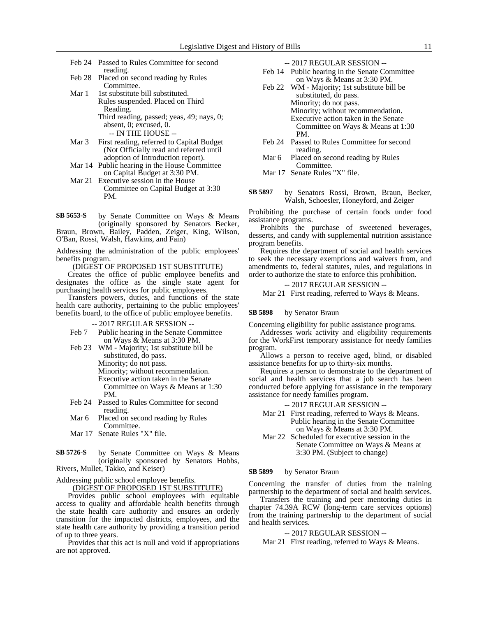- Feb 24 Passed to Rules Committee for second reading.
- Feb 28 Placed on second reading by Rules Committee.
- Mar 1 1st substitute bill substituted. Rules suspended. Placed on Third Reading. Third reading, passed; yeas, 49; nays, 0; absent, 0; excused, 0.
- -- IN THE HOUSE -- Mar 3 First reading, referred to Capital Budget (Not Officially read and referred until adoption of Introduction report).
- Mar 14 Public hearing in the House Committee on Capital Budget at 3:30 PM.
- Mar 21 Executive session in the House Committee on Capital Budget at 3:30 PM.

by Senate Committee on Ways & Means (originally sponsored by Senators Becker, **SB 5653-S**

Braun, Brown, Bailey, Padden, Zeiger, King, Wilson, O'Ban, Rossi, Walsh, Hawkins, and Fain)

Addressing the administration of the public employees' benefits program.

(DIGEST OF PROPOSED 1ST SUBSTITUTE)

Creates the office of public employee benefits and designates the office as the single state agent for purchasing health services for public employees.

Transfers powers, duties, and functions of the state health care authority, pertaining to the public employees' benefits board, to the office of public employee benefits.

-- 2017 REGULAR SESSION --

- Feb 7 Public hearing in the Senate Committee on Ways & Means at 3:30 PM.
- Feb 23 WM Majority; 1st substitute bill be substituted, do pass. Minority; do not pass. Minority; without recommendation. Executive action taken in the Senate Committee on Ways & Means at 1:30 PM.
- Feb 24 Passed to Rules Committee for second reading.
- Mar 6 Placed on second reading by Rules Committee.
- Mar 17 Senate Rules "X" file.

by Senate Committee on Ways & Means (originally sponsored by Senators Hobbs, Rivers, Mullet, Takko, and Keiser) **SB 5726-S**

Addressing public school employee benefits.

(DIGEST OF PROPOSED 1ST SUBSTITUTE)

Provides public school employees with equitable access to quality and affordable health benefits through the state health care authority and ensures an orderly transition for the impacted districts, employees, and the state health care authority by providing a transition period of up to three years.

Provides that this act is null and void if appropriations are not approved.

| --2017 REGULAR SESSION -- |  |
|---------------------------|--|
|---------------------------|--|

- Feb 14 Public hearing in the Senate Committee on Ways & Means at 3:30 PM.
- Feb 22 WM Majority; 1st substitute bill be substituted, do pass. Minority; do not pass. Minority; without recommendation. Executive action taken in the Senate Committee on Ways & Means at 1:30 PM.
- Feb 24 Passed to Rules Committee for second reading.
- Mar 6 Placed on second reading by Rules Committee.

Mar 17 Senate Rules "X" file.

by Senators Rossi, Brown, Braun, Becker, Walsh, Schoesler, Honeyford, and Zeiger **SB 5897**

Prohibiting the purchase of certain foods under food assistance programs.

Prohibits the purchase of sweetened beverages, desserts, and candy with supplemental nutrition assistance program benefits.

Requires the department of social and health services to seek the necessary exemptions and waivers from, and amendments to, federal statutes, rules, and regulations in order to authorize the state to enforce this prohibition.

-- 2017 REGULAR SESSION -- Mar 21 First reading, referred to Ways & Means.

#### by Senator Braun **SB 5898**

Concerning eligibility for public assistance programs.

Addresses work activity and eligibility requirements for the WorkFirst temporary assistance for needy families program.

Allows a person to receive aged, blind, or disabled assistance benefits for up to thirty-six months.

Requires a person to demonstrate to the department of social and health services that a job search has been conducted before applying for assistance in the temporary assistance for needy families program.

#### -- 2017 REGULAR SESSION --

- Mar 21 First reading, referred to Ways & Means. Public hearing in the Senate Committee on Ways & Means at 3:30 PM.
- Mar 22 Scheduled for executive session in the Senate Committee on Ways & Means at 3:30 PM. (Subject to change)

#### by Senator Braun **SB 5899**

Concerning the transfer of duties from the training partnership to the department of social and health services.

Transfers the training and peer mentoring duties in chapter 74.39A RCW (long-term care services options) from the training partnership to the department of social and health services.

#### -- 2017 REGULAR SESSION --

Mar 21 First reading, referred to Ways & Means.